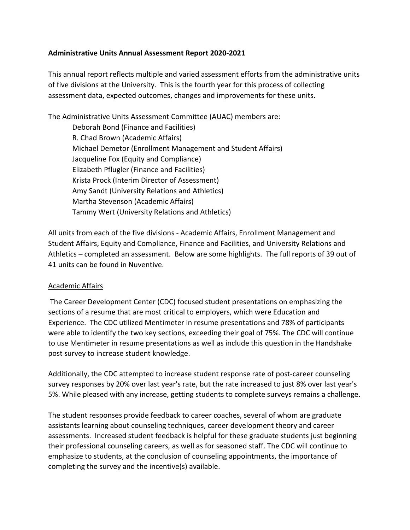#### **Administrative Units Annual Assessment Report 2020-2021**

This annual report reflects multiple and varied assessment efforts from the administrative units of five divisions at the University. This is the fourth year for this process of collecting assessment data, expected outcomes, changes and improvements for these units.

The Administrative Units Assessment Committee (AUAC) members are:

Deborah Bond (Finance and Facilities) R. Chad Brown (Academic Affairs) Michael Demetor (Enrollment Management and Student Affairs) Jacqueline Fox (Equity and Compliance) Elizabeth Pflugler (Finance and Facilities) Krista Prock (Interim Director of Assessment) Amy Sandt (University Relations and Athletics) Martha Stevenson (Academic Affairs) Tammy Wert (University Relations and Athletics)

All units from each of the five divisions - Academic Affairs, Enrollment Management and Student Affairs, Equity and Compliance, Finance and Facilities, and University Relations and Athletics – completed an assessment. Below are some highlights. The full reports of 39 out of 41 units can be found in Nuventive.

#### Academic Affairs

The Career Development Center (CDC) focused student presentations on emphasizing the sections of a resume that are most critical to employers, which were Education and Experience. The CDC utilized Mentimeter in resume presentations and 78% of participants were able to identify the two key sections, exceeding their goal of 75%. The CDC will continue to use Mentimeter in resume presentations as well as include this question in the Handshake post survey to increase student knowledge.

Additionally, the CDC attempted to increase student response rate of post-career counseling survey responses by 20% over last year's rate, but the rate increased to just 8% over last year's 5%. While pleased with any increase, getting students to complete surveys remains a challenge.

The student responses provide feedback to career coaches, several of whom are graduate assistants learning about counseling techniques, career development theory and career assessments. Increased student feedback is helpful for these graduate students just beginning their professional counseling careers, as well as for seasoned staff. The CDC will continue to emphasize to students, at the conclusion of counseling appointments, the importance of completing the survey and the incentive(s) available.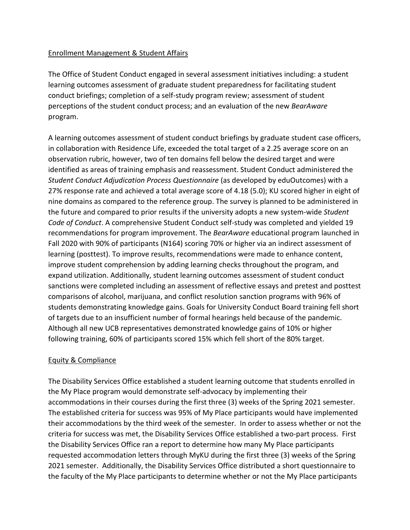## Enrollment Management & Student Affairs

The Office of Student Conduct engaged in several assessment initiatives including: a student learning outcomes assessment of graduate student preparedness for facilitating student conduct briefings; completion of a self-study program review; assessment of student perceptions of the student conduct process; and an evaluation of the new *BearAware*  program.

A learning outcomes assessment of student conduct briefings by graduate student case officers, in collaboration with Residence Life, exceeded the total target of a 2.25 average score on an observation rubric, however, two of ten domains fell below the desired target and were identified as areas of training emphasis and reassessment. Student Conduct administered the *Student Conduct Adjudication Process Questionnaire* (as developed by eduOutcomes) with a 27% response rate and achieved a total average score of 4.18 (5.0); KU scored higher in eight of nine domains as compared to the reference group. The survey is planned to be administered in the future and compared to prior results if the university adopts a new system-wide *Student Code of Conduct*. A comprehensive Student Conduct self-study was completed and yielded 19 recommendations for program improvement. The *BearAware* educational program launched in Fall 2020 with 90% of participants (N164) scoring 70% or higher via an indirect assessment of learning (posttest). To improve results, recommendations were made to enhance content, improve student comprehension by adding learning checks throughout the program, and expand utilization. Additionally, student learning outcomes assessment of student conduct sanctions were completed including an assessment of reflective essays and pretest and posttest comparisons of alcohol, marijuana, and conflict resolution sanction programs with 96% of students demonstrating knowledge gains. Goals for University Conduct Board training fell short of targets due to an insufficient number of formal hearings held because of the pandemic. Although all new UCB representatives demonstrated knowledge gains of 10% or higher following training, 60% of participants scored 15% which fell short of the 80% target.

## Equity & Compliance

The Disability Services Office established a student learning outcome that students enrolled in the My Place program would demonstrate self-advocacy by implementing their accommodations in their courses during the first three (3) weeks of the Spring 2021 semester. The established criteria for success was 95% of My Place participants would have implemented their accommodations by the third week of the semester. In order to assess whether or not the criteria for success was met, the Disability Services Office established a two-part process. First the Disability Services Office ran a report to determine how many My Place participants requested accommodation letters through MyKU during the first three (3) weeks of the Spring 2021 semester. Additionally, the Disability Services Office distributed a short questionnaire to the faculty of the My Place participants to determine whether or not the My Place participants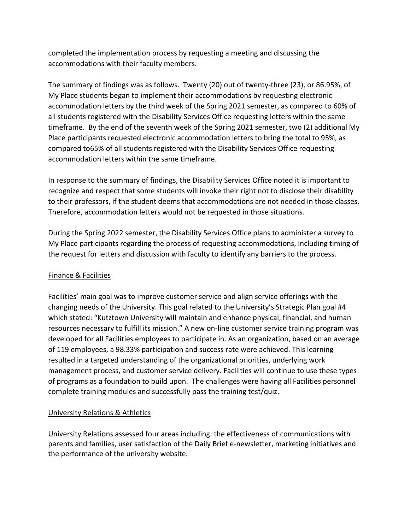completed the implementation process by requesting a meeting and discussing the accommodations with their faculty members.

The summary of findings was as follows. Twenty (20) out of twenty-three (23), or 86.95%, of My Place students began to implement their accommodations by requesting electronic accommodation letters by the third week of the Spring 2021 semester, as compared to 60% of all students registered with the Disability Services Office requesting letters within the same timeframe. By the end of the seventh week of the Spring 2021 semester, two (2) additional My Place participants requested electronic accommodation letters to bring the total to 95%, as compared to65% of all students registered with the Disability Services Office requesting accommodation letters within the same timeframe.

In response to the summary of findings, the Disability Services Office noted it is important to recognize and respect that some students will invoke their right not to disclose their disability to their professors, if the student deems that accommodations are not needed in those classes. Therefore, accommodation letters would not be requested in those situations.

During the Spring 2022 semester, the Disability Services Office plans to administer a survey to My Place participants regarding the process of requesting accommodations, including timing of the request for letters and discussion with faculty to identify any barriers to the process.

# Finance & Facilities

Facilities' main goal was to improve customer service and align service offerings with the changing needs of the University. This goal related to the University's Strategic Plan goal #4 which stated: "Kutztown University will maintain and enhance physical, financial, and human resources necessary to fulfill its mission." A new on-line customer service training program was developed for all Facilities employees to participate in. As an organization, based on an average of 119 employees, a 98.33% participation and success rate were achieved. This learning resulted in a targeted understanding of the organizational priorities, underlying work management process, and customer service delivery. Facilities will continue to use these types of programs as a foundation to build upon. The challenges were having all Facilities personnel complete training modules and successfully pass the training test/quiz.

## University Relations & Athletics

University Relations assessed four areas including: the effectiveness of communications with parents and families, user satisfaction of the Daily Brief e-newsletter, marketing initiatives and the performance of the university website.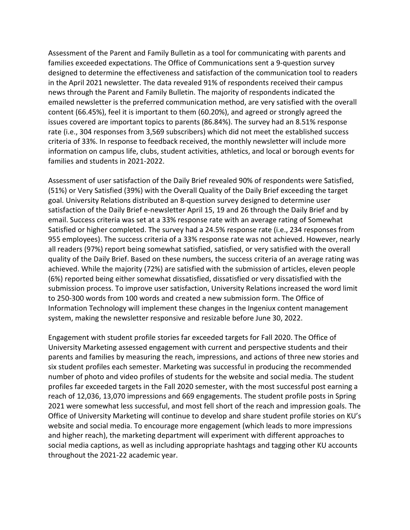Assessment of the Parent and Family Bulletin as a tool for communicating with parents and families exceeded expectations. The Office of Communications sent a 9-question survey designed to determine the effectiveness and satisfaction of the communication tool to readers in the April 2021 newsletter. The data revealed 91% of respondents received their campus news through the Parent and Family Bulletin. The majority of respondents indicated the emailed newsletter is the preferred communication method, are very satisfied with the overall content (66.45%), feel it is important to them (60.20%), and agreed or strongly agreed the issues covered are important topics to parents (86.84%). The survey had an 8.51% response rate (i.e., 304 responses from 3,569 subscribers) which did not meet the established success criteria of 33%. In response to feedback received, the monthly newsletter will include more information on campus life, clubs, student activities, athletics, and local or borough events for families and students in 2021-2022.

Assessment of user satisfaction of the Daily Brief revealed 90% of respondents were Satisfied, (51%) or Very Satisfied (39%) with the Overall Quality of the Daily Brief exceeding the target goal. University Relations distributed an 8-question survey designed to determine user satisfaction of the Daily Brief e-newsletter April 15, 19 and 26 through the Daily Brief and by email. Success criteria was set at a 33% response rate with an average rating of Somewhat Satisfied or higher completed. The survey had a 24.5% response rate (i.e., 234 responses from 955 employees). The success criteria of a 33% response rate was not achieved. However, nearly all readers (97%) report being somewhat satisfied, satisfied, or very satisfied with the overall quality of the Daily Brief. Based on these numbers, the success criteria of an average rating was achieved. While the majority (72%) are satisfied with the submission of articles, eleven people (6%) reported being either somewhat dissatisfied, dissatisfied or very dissatisfied with the submission process. To improve user satisfaction, University Relations increased the word limit to 250-300 words from 100 words and created a new submission form. The Office of Information Technology will implement these changes in the Ingeniux content management system, making the newsletter responsive and resizable before June 30, 2022.

Engagement with student profile stories far exceeded targets for Fall 2020. The Office of University Marketing assessed engagement with current and perspective students and their parents and families by measuring the reach, impressions, and actions of three new stories and six student profiles each semester. Marketing was successful in producing the recommended number of photo and video profiles of students for the website and social media. The student profiles far exceeded targets in the Fall 2020 semester, with the most successful post earning a reach of 12,036, 13,070 impressions and 669 engagements. The student profile posts in Spring 2021 were somewhat less successful, and most fell short of the reach and impression goals. The Office of University Marketing will continue to develop and share student profile stories on KU's website and social media. To encourage more engagement (which leads to more impressions and higher reach), the marketing department will experiment with different approaches to social media captions, as well as including appropriate hashtags and tagging other KU accounts throughout the 2021-22 academic year.